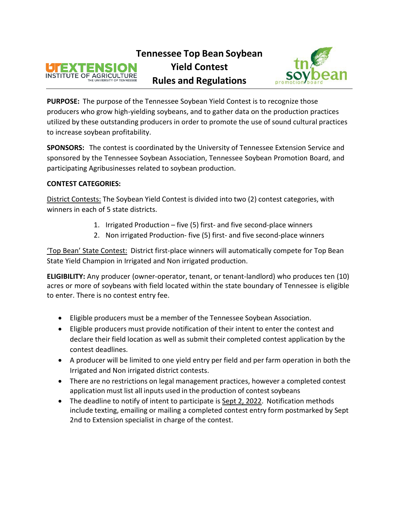



**PURPOSE:** The purpose of the Tennessee Soybean Yield Contest is to recognize those producers who grow high-yielding soybeans, and to gather data on the production practices utilized by these outstanding producers in order to promote the use of sound cultural practices to increase soybean profitability.

**SPONSORS:** The contest is coordinated by the University of Tennessee Extension Service and sponsored by the Tennessee Soybean Association, Tennessee Soybean Promotion Board, and participating Agribusinesses related to soybean production.

## **CONTEST CATEGORIES:**

District Contests: The Soybean Yield Contest is divided into two (2) contest categories, with winners in each of 5 state districts.

- 1. Irrigated Production five (5) first- and five second-place winners
- 2. Non irrigated Production- five (5) first- and five second-place winners

'Top Bean' State Contest: District first-place winners will automatically compete for Top Bean State Yield Champion in Irrigated and Non irrigated production.

**ELIGIBILITY:** Any producer (owner-operator, tenant, or tenant-landlord) who produces ten (10) acres or more of soybeans with field located within the state boundary of Tennessee is eligible to enter. There is no contest entry fee.

- Eligible producers must be a member of the Tennessee Soybean Association.
- Eligible producers must provide notification of their intent to enter the contest and declare their field location as well as submit their completed contest application by the contest deadlines.
- A producer will be limited to one yield entry per field and per farm operation in both the Irrigated and Non irrigated district contests.
- There are no restrictions on legal management practices, however a completed contest application must list all inputs used in the production of contest soybeans
- The deadline to notify of intent to participate is Sept 2, 2022. Notification methods include texting, emailing or mailing a completed contest entry form postmarked by Sept 2nd to Extension specialist in charge of the contest.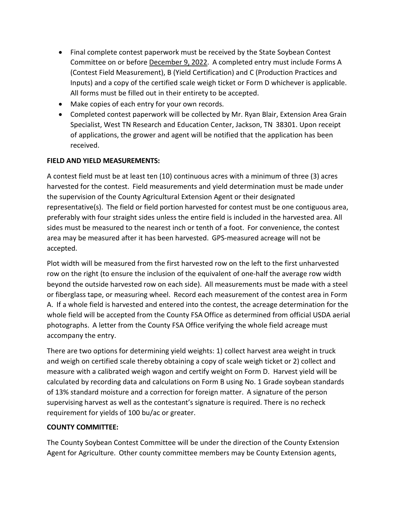- Final complete contest paperwork must be received by the State Soybean Contest Committee on or before December 9, 2022. A completed entry must include Forms A (Contest Field Measurement), B (Yield Certification) and C (Production Practices and Inputs) and a copy of the certified scale weigh ticket or Form D whichever is applicable. All forms must be filled out in their entirety to be accepted.
- Make copies of each entry for your own records.
- Completed contest paperwork will be collected by Mr. Ryan Blair, Extension Area Grain Specialist, West TN Research and Education Center, Jackson, TN 38301. Upon receipt of applications, the grower and agent will be notified that the application has been received.

# **FIELD AND YIELD MEASUREMENTS:**

A contest field must be at least ten (10) continuous acres with a minimum of three (3) acres harvested for the contest. Field measurements and yield determination must be made under the supervision of the County Agricultural Extension Agent or their designated representative(s). The field or field portion harvested for contest must be one contiguous area, preferably with four straight sides unless the entire field is included in the harvested area. All sides must be measured to the nearest inch or tenth of a foot. For convenience, the contest area may be measured after it has been harvested. GPS-measured acreage will not be accepted.

Plot width will be measured from the first harvested row on the left to the first unharvested row on the right (to ensure the inclusion of the equivalent of one-half the average row width beyond the outside harvested row on each side). All measurements must be made with a steel or fiberglass tape, or measuring wheel. Record each measurement of the contest area in Form A. If a whole field is harvested and entered into the contest, the acreage determination for the whole field will be accepted from the County FSA Office as determined from official USDA aerial photographs. A letter from the County FSA Office verifying the whole field acreage must accompany the entry.

There are two options for determining yield weights: 1) collect harvest area weight in truck and weigh on certified scale thereby obtaining a copy of scale weigh ticket or 2) collect and measure with a calibrated weigh wagon and certify weight on Form D. Harvest yield will be calculated by recording data and calculations on Form B using No. 1 Grade soybean standards of 13% standard moisture and a correction for foreign matter. A signature of the person supervising harvest as well as the contestant's signature is required. There is no recheck requirement for yields of 100 bu/ac or greater.

## **COUNTY COMMITTEE:**

The County Soybean Contest Committee will be under the direction of the County Extension Agent for Agriculture. Other county committee members may be County Extension agents,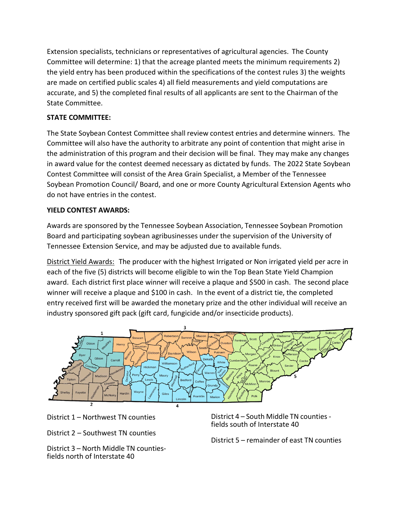Extension specialists, technicians or representatives of agricultural agencies. The County Committee will determine: 1) that the acreage planted meets the minimum requirements 2) the yield entry has been produced within the specifications of the contest rules 3) the weights are made on certified public scales 4) all field measurements and yield computations are accurate, and 5) the completed final results of all applicants are sent to the Chairman of the State Committee.

## **STATE COMMITTEE:**

The State Soybean Contest Committee shall review contest entries and determine winners. The Committee will also have the authority to arbitrate any point of contention that might arise in the administration of this program and their decision will be final. They may make any changes in award value for the contest deemed necessary as dictated by funds. The 2022 State Soybean Contest Committee will consist of the Area Grain Specialist, a Member of the Tennessee Soybean Promotion Council/ Board, and one or more County Agricultural Extension Agents who do not have entries in the contest.

## **YIELD CONTEST AWARDS:**

Awards are sponsored by the Tennessee Soybean Association, Tennessee Soybean Promotion Board and participating soybean agribusinesses under the supervision of the University of Tennessee Extension Service, and may be adjusted due to available funds.

District Yield Awards: The producer with the highest Irrigated or Non irrigated yield per acre in each of the five (5) districts will become eligible to win the Top Bean State Yield Champion award. Each district first place winner will receive a plaque and \$500 in cash. The second place winner will receive a plaque and \$100 in cash. In the event of a district tie, the completed entry received first will be awarded the monetary prize and the other individual will receive an industry sponsored gift pack (gift card, fungicide and/or insecticide products).



District 1 – Northwest TN counties

District 2 – Southwest TN counties

District 3 – North Middle TN countiesfields north of Interstate 40

District 4 – South Middle TN counties fields south of Interstate 40

District 5 – remainder of east TN counties